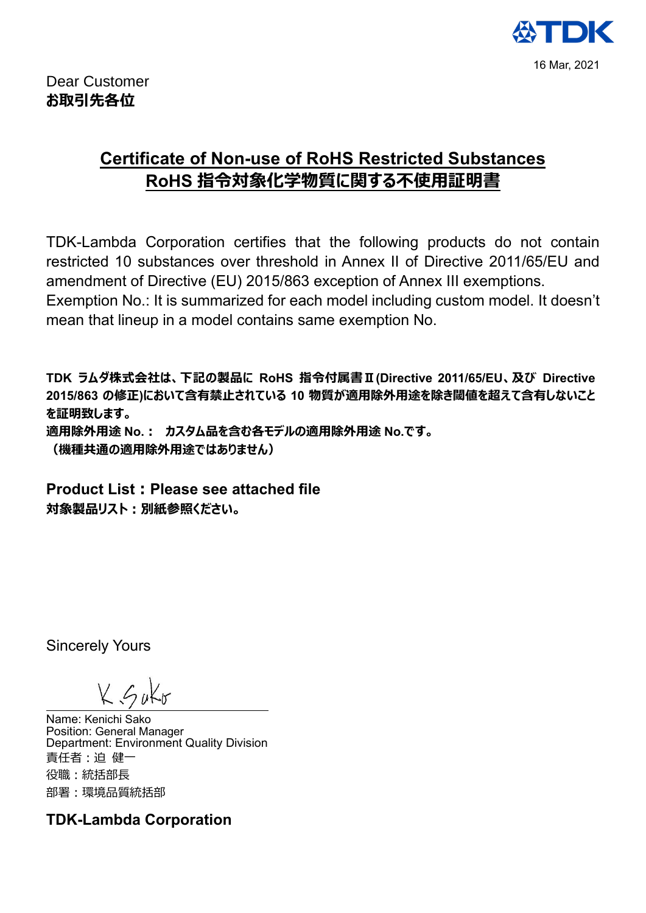

## **Certificate of Non-use of RoHS Restricted Substances RoHS 指令対象化学物質に関する不使用証明書**

TDK-Lambda Corporation certifies that the following products do not contain restricted 10 substances over threshold in Annex II of Directive 2011/65/EU and amendment of Directive (EU) 2015/863 exception of Annex III exemptions.

Exemption No.: It is summarized for each model including custom model. It doesn't mean that lineup in a model contains same exemption No.

**TDK ラムダ株式会社は、下記の製品に RoHS 指令付属書Ⅱ(Directive 2011/65/EU、及び Directive 2015/863 の修正)において含有禁止されている 10 物質が適用除外用途を除き閾値を超えて含有しないこと を証明致します。**

**適用除外用途 No.: カスタム品を含む各モデルの適用除外用途 No.です。 (機種共通の適用除外用途ではありません)**

**Product List:Please see attached file 対象製品リスト:別紙参照ください。**

Sincerely Yours

Name: Kenichi Sako Position: General Manager Department: Environment Quality Division 責任者:迫 健一 役職:統括部長 部署:環境品質統括部

**TDK-Lambda Corporation**